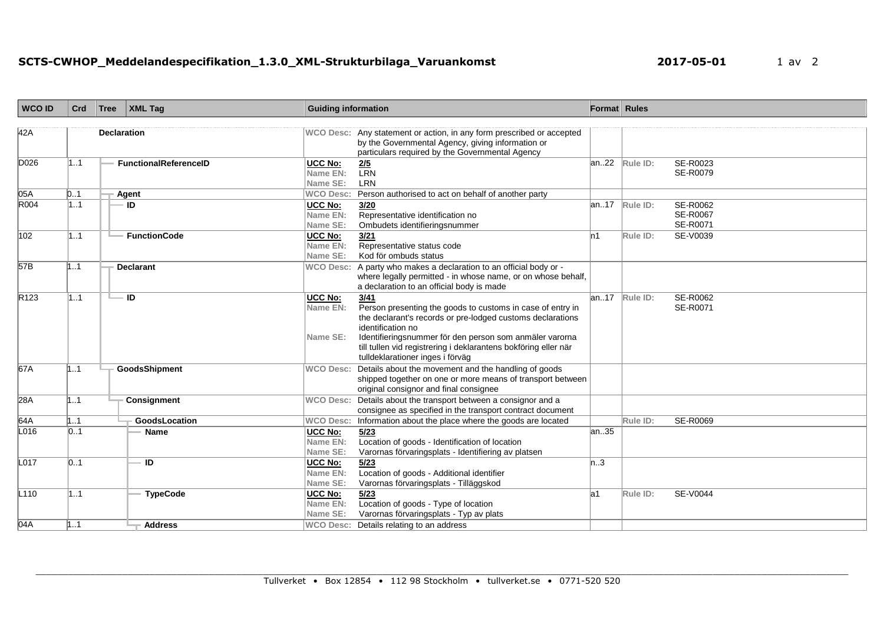| <b>WCO ID</b>    | Crd | Tree | <b>XML Tag</b>               | <b>Guiding information</b>                    |                                                                                                                                                                                                                                                                                                                         | Format Rules |          |                                         |
|------------------|-----|------|------------------------------|-----------------------------------------------|-------------------------------------------------------------------------------------------------------------------------------------------------------------------------------------------------------------------------------------------------------------------------------------------------------------------------|--------------|----------|-----------------------------------------|
| 42A              |     |      | <b>Declaration</b>           |                                               | WCO Desc: Any statement or action, in any form prescribed or accepted<br>by the Governmental Agency, giving information or<br>particulars required by the Governmental Agency                                                                                                                                           |              |          |                                         |
| D026             | 11  |      | <b>FunctionalReferenceID</b> | <b>UCC No:</b><br>Name EN:<br>Name SE:        | $\frac{2/5}{LRN}$<br><b>LRN</b>                                                                                                                                                                                                                                                                                         | an22         | Rule ID: | SE-R0023<br>SE-R0079                    |
| 05A              | D1  |      | Agent                        | <b>WCO Desc:</b>                              | Person authorised to act on behalf of another party                                                                                                                                                                                                                                                                     |              |          |                                         |
| R004             | 1.1 |      | <b>ID</b>                    | <b>UCC No:</b><br>Name EN:<br>Name SE:        | 3/20<br>Representative identification no<br>Ombudets identifieringsnummer                                                                                                                                                                                                                                               | lan17        | Rule ID: | <b>SE-R0062</b><br>SE-R0067<br>SE-R0071 |
| 102              | 11  |      | <b>FunctionCode</b>          | <b>UCC No:</b><br>Name EN:<br>Name SE:        | 3/21<br>Representative status code<br>Kod för ombuds status                                                                                                                                                                                                                                                             | In 1         | Rule ID: | SE-V0039                                |
| 57B              | 1.1 |      | <b>Declarant</b>             |                                               | WCO Desc: A party who makes a declaration to an official body or -<br>where legally permitted - in whose name, or on whose behalf,<br>a declaration to an official body is made                                                                                                                                         |              |          |                                         |
| R <sub>123</sub> | 11  |      | - ID                         | <b>UCC No:</b><br>Name EN:<br>Name SE:        | 3/41<br>Person presenting the goods to customs in case of entry in<br>the declarant's records or pre-lodged customs declarations<br>identification no<br>Identifieringsnummer för den person som anmäler varorna<br>till tullen vid registrering i deklarantens bokföring eller när<br>tulldeklarationer inges i förväg | an17         | Rule ID: | <b>SE-R0062</b><br>SE-R0071             |
| 67A              | 11  |      | GoodsShipment                | <b>WCO Desc:</b>                              | Details about the movement and the handling of goods<br>shipped together on one or more means of transport between<br>original consignor and final consignee                                                                                                                                                            |              |          |                                         |
| 28A              | 1.1 |      | Consignment                  |                                               | WCO Desc: Details about the transport between a consignor and a<br>consignee as specified in the transport contract document                                                                                                                                                                                            |              |          |                                         |
| 64A              | 1.1 |      | GoodsLocation                | <b>WCO Desc:</b>                              | Information about the place where the goods are located                                                                                                                                                                                                                                                                 |              | Rule ID: | SE-R0069                                |
| L016             | 01  |      | <b>Name</b>                  | <b>UCC No:</b><br><b>Name EN:</b><br>Name SE: | 5/23<br>Location of goods - Identification of location<br>Varornas förvaringsplats - Identifiering av platsen                                                                                                                                                                                                           | an35         |          |                                         |
| L017             | 0.1 |      | <b>ID</b>                    | UCC No:<br>Name EN:<br>Name SE:               | 5/23<br>Location of goods - Additional identifier<br>Varornas förvaringsplats - Tilläggskod                                                                                                                                                                                                                             | n3           |          |                                         |
| L110             | 11  |      | <b>TypeCode</b>              | <b>UCC No:</b><br><b>Name EN:</b><br>Name SE: | 5/23<br>Location of goods - Type of location<br>Varornas förvaringsplats - Typ av plats                                                                                                                                                                                                                                 | la1          | Rule ID: | <b>SE-V0044</b>                         |
| 04A              | 111 |      | <b>Address</b>               |                                               | WCO Desc: Details relating to an address                                                                                                                                                                                                                                                                                |              |          |                                         |